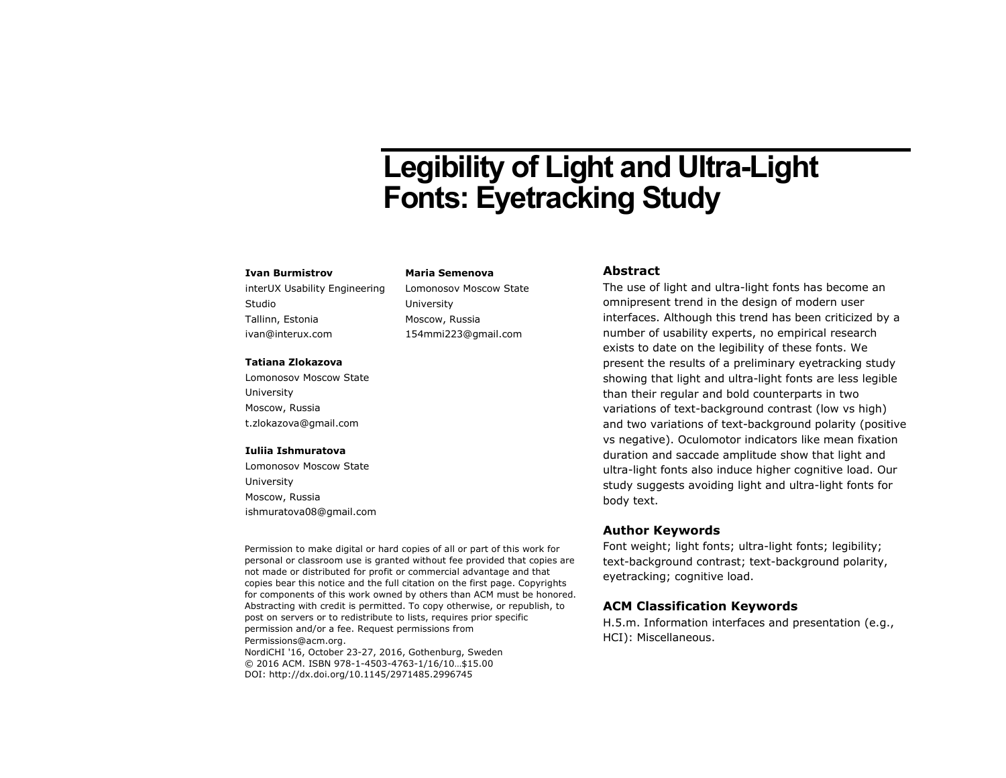# **Legibility of Light and Ultra-Light Fonts: Eyetracking Study**

### **Ivan Burmistrov**

interUX Usability Engineering Studio Tallinn, Estonia ivan@interux.com

### **Tatiana Zlokazova**

Lomonosov Moscow State University Moscow, Russia t.zlokazova@gmail.com

#### **Iuliia Ishmuratova**

Lomonosov Moscow State University Moscow, Russia ishmuratova08@gmail.com

Permission to make digital or hard copies of all or part of this work for personal or classroom use is granted without fee provided that copies are not made or distributed for profit or commercial advantage and that copies bear this notice and the full citation on the first page. Copyrights for components of this work owned by others than ACM must be honored. Abstracting with credit is permitted. To copy otherwise, or republish, to post on servers or to redistribute to lists, requires prior specific permission and/or a fee. Request permissions from Permissions@acm.org. NordiCHI '16, October 23-27, 2016, Gothenburg, Sweden

© 2016 ACM. ISBN 978-1-4503-4763-1/16/10…\$15.00 DOI: http://dx.doi.org/10.1145/2971485.2996745

### **Maria Semenova**

Lomonosov Moscow State University Moscow, Russia 154mmi223@gmail.com

### **Abstract**

The use of light and ultra-light fonts has become an omnipresent trend in the design of modern user interfaces. Although this trend has been criticized by a number of usability experts, no empirical research exists to date on the legibility of these fonts. We present the results of a preliminary eyetracking study showing that light and ultra-light fonts are less legible than their regular and bold counterparts in two variations of text-background contrast (low vs high) and two variations of text-background polarity (positive vs negative). Oculomotor indicators like mean fixation duration and saccade amplitude show that light and ultra-light fonts also induce higher cognitive load. Our study suggests avoiding light and ultra-light fonts for body text.

### **Author Keywords**

Font weight; light fonts; ultra-light fonts; legibility; text-background contrast; text-background polarity, eyetracking; cognitive load.

### **ACM Classification Keywords**

H.5.m. Information interfaces and presentation (e.g., HCI): Miscellaneous.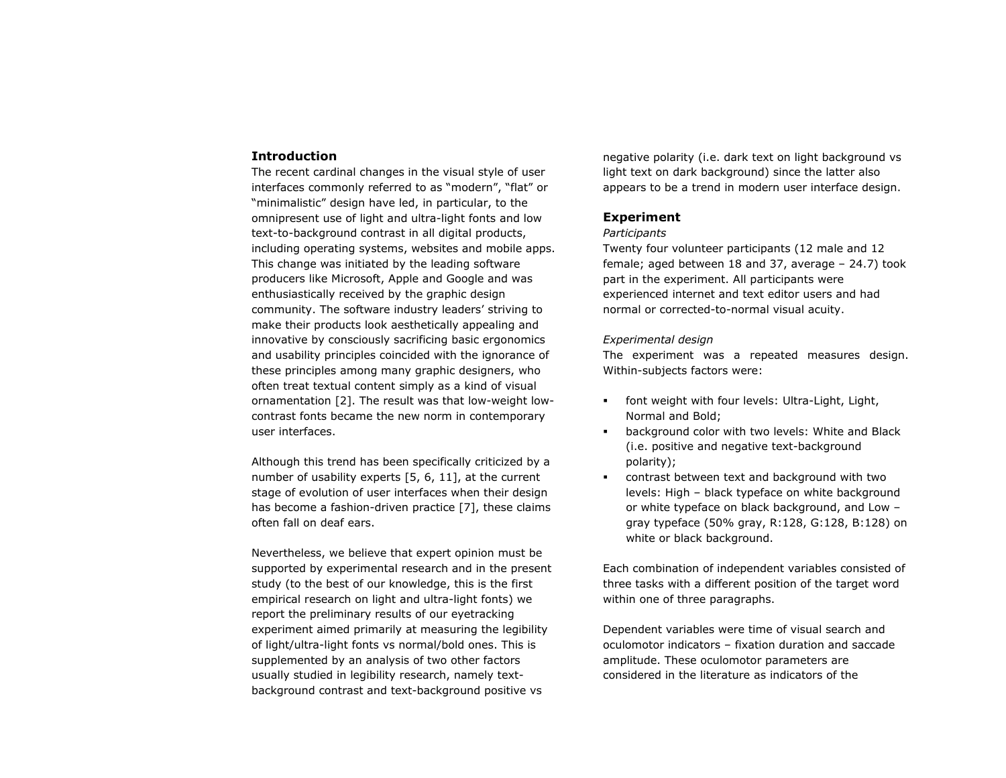### **Introduction**

The recent cardinal changes in the visual style of user interfaces commonly referred to as "modern", "flat" or "minimalistic" design have led, in particular, to the omnipresent use of light and ultra-light fonts and low text-to-background contrast in all digital products, including operating systems, websites and mobile apps. This change was initiated by the leading software producers like Microsoft, Apple and Google and was enthusiastically received by the graphic design community. The software industry leaders' striving to make their products look aesthetically appealing and innovative by consciously sacrificing basic ergonomics and usability principles coincided with the ignorance of these principles among many graphic designers, who often treat textual content simply as a kind of visual ornamentation [\[2\]](#page-5-0). The result was that low-weight lowcontrast fonts became the new norm in contemporary user interfaces.

Although this trend has been specifically criticized by a number of usability experts [\[5,](#page-5-1) [6,](#page-5-2) [11\]](#page-5-3), at the current stage of evolution of user interfaces when their design has become a fashion-driven practice [\[7\]](#page-5-4), these claims often fall on deaf ears.

Nevertheless, we believe that expert opinion must be supported by experimental research and in the present study (to the best of our knowledge, this is the first empirical research on light and ultra-light fonts) we report the preliminary results of our eyetracking experiment aimed primarily at measuring the legibility of light/ultra-light fonts vs normal/bold ones. This is supplemented by an analysis of two other factors usually studied in legibility research, namely textbackground contrast and text-background positive vs

negative polarity (i.e. dark text on light background vs light text on dark background) since the latter also appears to be a trend in modern user interface design.

### **Experiment**

### *Participants*

Twenty four volunteer participants (12 male and 12 female; aged between 18 and 37, average – 24.7) took part in the experiment. All participants were experienced internet and text editor users and had normal or corrected-to-normal visual acuity.

### *Experimental design*

The experiment was a repeated measures design. Within-subjects factors were:

- font weight with four levels: Ultra-Light, Light, Normal and Bold;
- **B** background color with two levels: White and Black (i.e. positive and negative text-background polarity);
- contrast between text and background with two levels: High – black typeface on white background or white typeface on black background, and Low – gray typeface (50% gray, R:128, G:128, B:128) on white or black background.

Each combination of independent variables consisted of three tasks with a different position of the target word within one of three paragraphs.

Dependent variables were time of visual search and oculomotor indicators – fixation duration and saccade amplitude. These oculomotor parameters are considered in the literature as indicators of the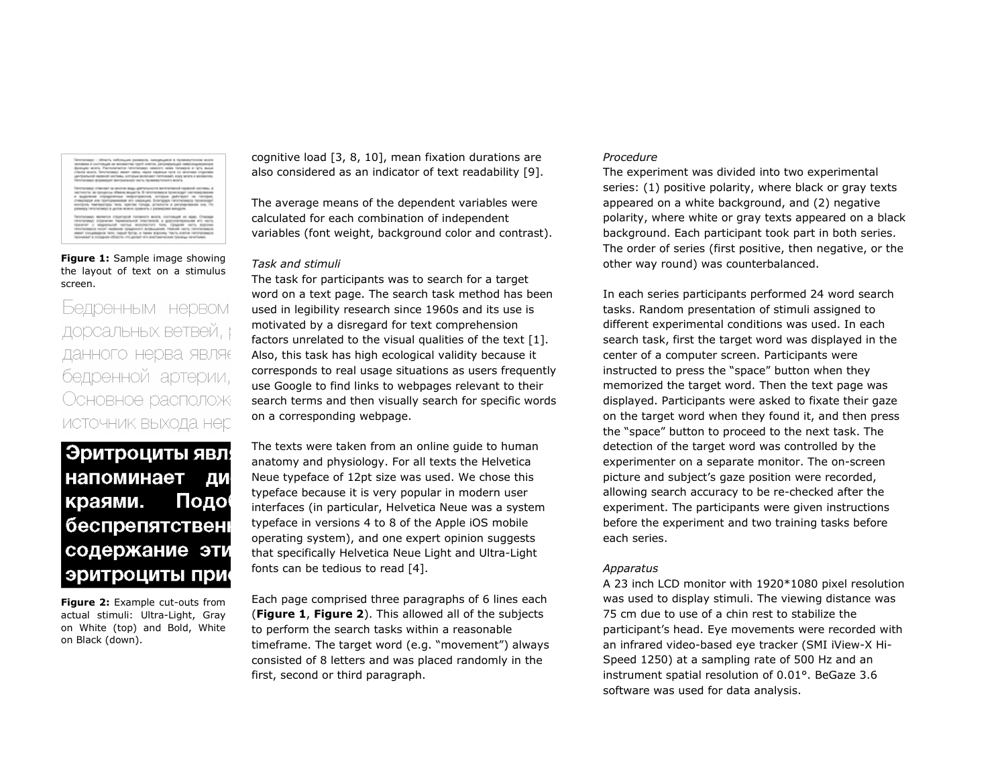<span id="page-2-0"></span>**Figure 1:** Sample image showing the layout of text on a stimulus screen.

Бедренным нервом дорсальных ветвей, р данного нерва являє бедренной артерии, Основное располож ИСТОЧНИК ВЫХОДА НЕС

## Эритроциты явл. напоминает ДИ Подо краями. беспрепятственн содержание эти эритроциты при

<span id="page-2-1"></span>**Figure 2:** Example cut-outs from actual stimuli: Ultra-Light, Gray on White (top) and Bold, White on Black (down).

cognitive load [\[3,](#page-5-5) [8,](#page-5-6) [10\]](#page-5-7), mean fixation durations are also considered as an indicator of text readability [\[9\]](#page-5-8).

The average means of the dependent variables were calculated for each combination of independent variables (font weight, background color and contrast).

### *Task and stimuli*

The task for participants was to search for a target word on a text page. The search task method has been used in legibility research since 1960s and its use is motivated by a disregard for text comprehension factors unrelated to the visual qualities of the text [\[1\]](#page-5-9). Also, this task has high ecological validity because it corresponds to real usage situations as users frequently use Google to find links to webpages relevant to their search terms and then visually search for specific words on a corresponding webpage.

The texts were taken from an online guide to human anatomy and physiology. For all texts the Helvetica Neue typeface of 12pt size was used. We chose this typeface because it is very popular in modern user interfaces (in particular, Helvetica Neue was a system typeface in versions 4 to 8 of the Apple iOS mobile operating system), and one expert opinion suggests that specifically Helvetica Neue Light and Ultra-Light fonts can be tedious to read [\[4\]](#page-5-10).

Each page comprised three paragraphs of 6 lines each (**[Figure 1](#page-2-0)**, **[Figure 2](#page-2-1)**). This allowed all of the subjects to perform the search tasks within a reasonable timeframe. The target word (e.g. "movement") always consisted of 8 letters and was placed randomly in the first, second or third paragraph.

### *Procedure*

The experiment was divided into two experimental series: (1) positive polarity, where black or gray texts appeared on a white background, and (2) negative polarity, where white or gray texts appeared on a black background. Each participant took part in both series. The order of series (first positive, then negative, or the other way round) was counterbalanced.

In each series participants performed 24 word search tasks. Random presentation of stimuli assigned to different experimental conditions was used. In each search task, first the target word was displayed in the center of a computer screen. Participants were instructed to press the "space" button when they memorized the target word. Then the text page was displayed. Participants were asked to fixate their gaze on the target word when they found it, and then press the "space" button to proceed to the next task. The detection of the target word was controlled by the experimenter on a separate monitor. The on-screen picture and subject's gaze position were recorded, allowing search accuracy to be re-checked after the experiment. The participants were given instructions before the experiment and two training tasks before each series.

### *Apparatus*

A 23 inch LCD monitor with 1920\*1080 pixel resolution was used to display stimuli. The viewing distance was 75 cm due to use of a chin rest to stabilize the participant's head. Eye movements were recorded with an infrared video-based eye tracker (SMI iView-X Hi-Speed 1250) at a sampling rate of 500 Hz and an instrument spatial resolution of 0.01°. BeGaze 3.6 software was used for data analysis.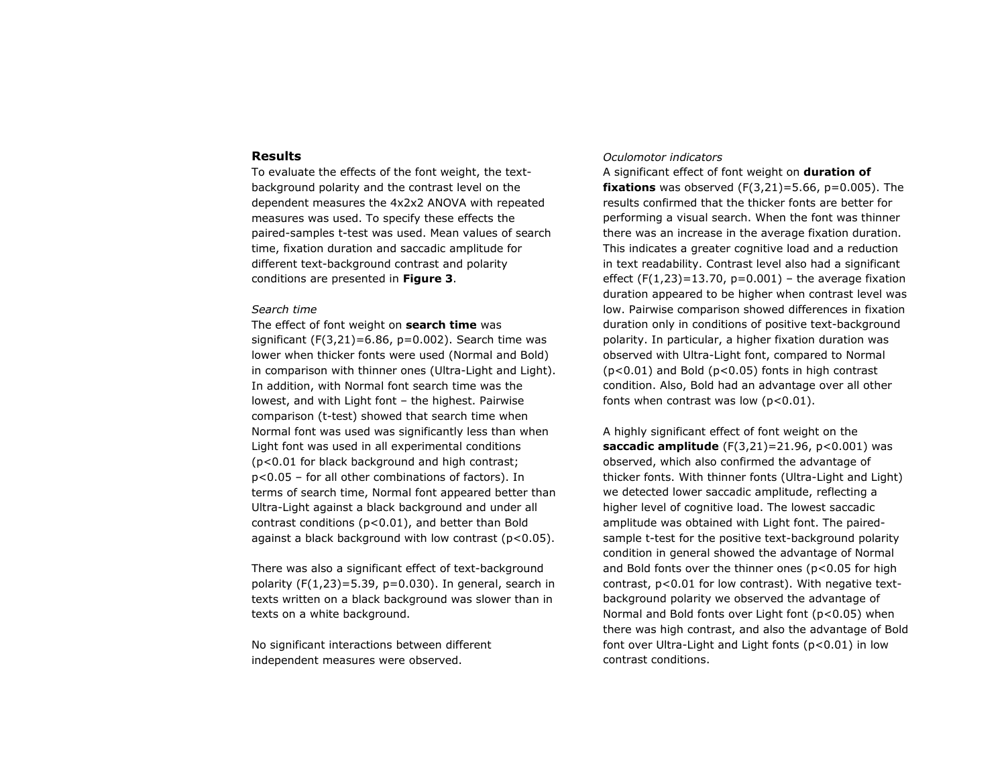### **Results**

To evaluate the effects of the font weight, the textbackground polarity and the contrast level on the dependent measures the 4x2x2 ANOVA with repeated measures was used. To specify these effects the paired-samples t-test was used. Mean values of search time, fixation duration and saccadic amplitude for different text-background contrast and polarity conditions are presented in **[Figure 3](#page-4-0)**.

### *Search time*

The effect of font weight on **search time** was significant  $(F(3,21)=6.86, p=0.002)$ . Search time was lower when thicker fonts were used (Normal and Bold) in comparison with thinner ones (Ultra-Light and Light). In addition, with Normal font search time was the lowest, and with Light font – the highest. Pairwise comparison (t-test) showed that search time when Normal font was used was significantly less than when Light font was used in all experimental conditions (p<0.01 for black background and high contrast; p<0.05 – for all other combinations of factors). In terms of search time, Normal font appeared better than Ultra-Light against a black background and under all contrast conditions (p<0.01), and better than Bold against a black background with low contrast (p<0.05).

There was also a significant effect of text-background polarity  $(F(1,23)=5.39, p=0.030)$ . In general, search in texts written on a black background was slower than in texts on a white background.

No significant interactions between different independent measures were observed.

### *Oculomotor indicators*

A significant effect of font weight on **duration of fixations** was observed  $(F(3,21)=5.66, p=0.005)$ . The results confirmed that the thicker fonts are better for performing a visual search. When the font was thinner there was an increase in the average fixation duration. This indicates a greater cognitive load and a reduction in text readability. Contrast level also had a significant effect  $(F(1,23)=13.70, p=0.001)$  – the average fixation duration appeared to be higher when contrast level was low. Pairwise comparison showed differences in fixation duration only in conditions of positive text-background polarity. In particular, a higher fixation duration was observed with Ultra-Light font, compared to Normal (p<0.01) and Bold (p<0.05) fonts in high contrast condition. Also, Bold had an advantage over all other fonts when contrast was low  $(p<0.01)$ .

A highly significant effect of font weight on the **saccadic amplitude** (F(3,21)=21.96, p<0.001) was observed, which also confirmed the advantage of thicker fonts. With thinner fonts (Ultra-Light and Light) we detected lower saccadic amplitude, reflecting a higher level of cognitive load. The lowest saccadic amplitude was obtained with Light font. The pairedsample t-test for the positive text-background polarity condition in general showed the advantage of Normal and Bold fonts over the thinner ones (p<0.05 for high contrast, p<0.01 for low contrast). With negative textbackground polarity we observed the advantage of Normal and Bold fonts over Light font (p<0.05) when there was high contrast, and also the advantage of Bold font over Ultra-Light and Light fonts (p<0.01) in low contrast conditions.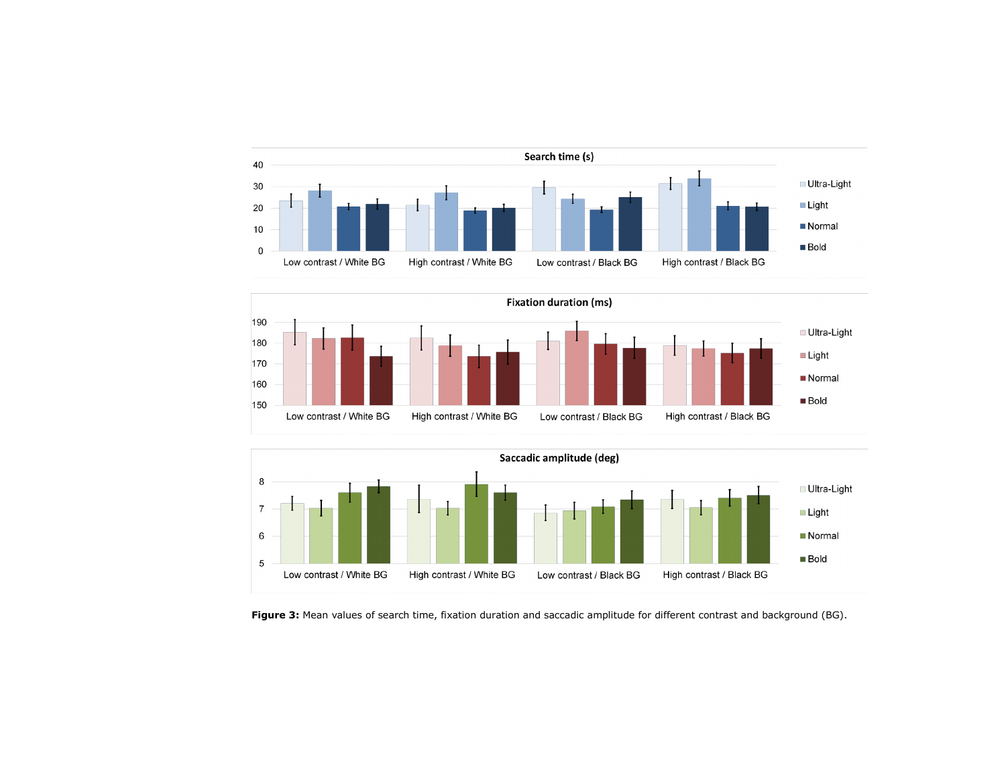





<span id="page-4-0"></span>**Figure 3:** Mean values of search time, fixation duration and saccadic amplitude for different contrast and background (BG).